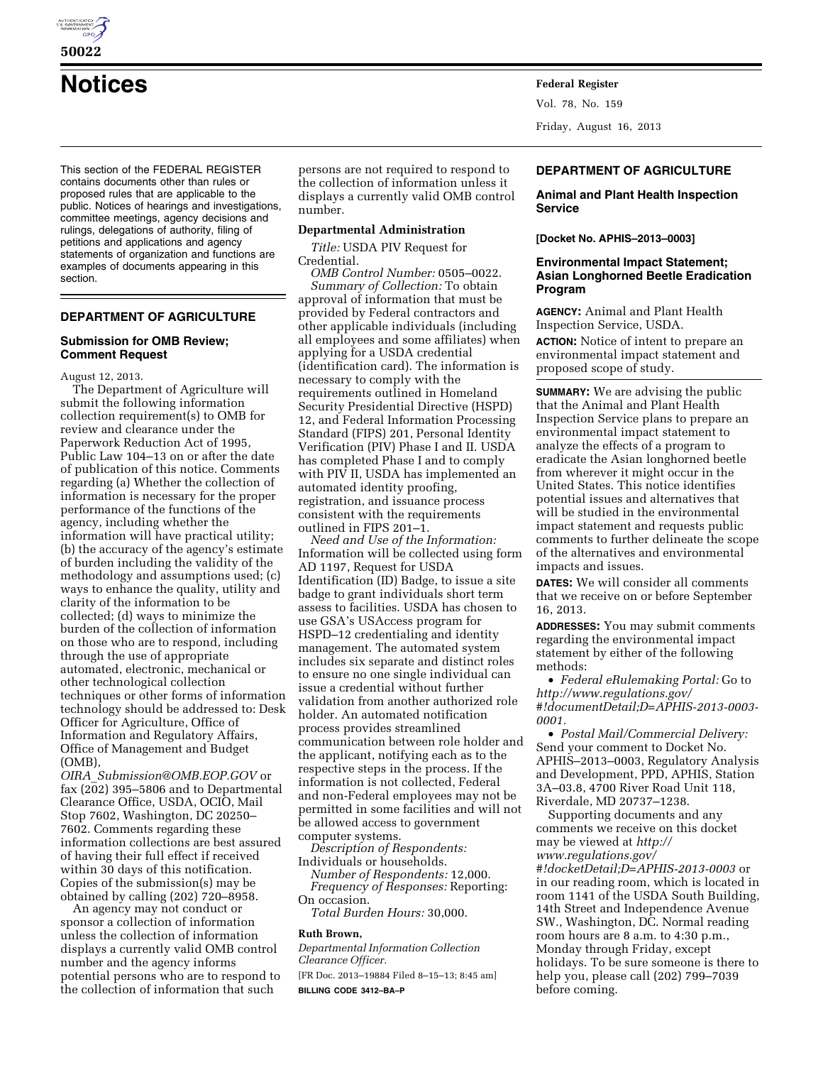

**50022** 

This section of the FEDERAL REGISTER contains documents other than rules or proposed rules that are applicable to the public. Notices of hearings and investigations, committee meetings, agency decisions and rulings, delegations of authority, filing of petitions and applications and agency statements of organization and functions are examples of documents appearing in this section.

# **DEPARTMENT OF AGRICULTURE**

#### **Submission for OMB Review; Comment Request**

August 12, 2013.

The Department of Agriculture will submit the following information collection requirement(s) to OMB for review and clearance under the Paperwork Reduction Act of 1995, Public Law 104–13 on or after the date of publication of this notice. Comments regarding (a) Whether the collection of information is necessary for the proper performance of the functions of the agency, including whether the information will have practical utility; (b) the accuracy of the agency's estimate of burden including the validity of the methodology and assumptions used; (c) ways to enhance the quality, utility and clarity of the information to be collected; (d) ways to minimize the burden of the collection of information on those who are to respond, including through the use of appropriate automated, electronic, mechanical or other technological collection techniques or other forms of information technology should be addressed to: Desk Officer for Agriculture, Office of Information and Regulatory Affairs, Office of Management and Budget (OMB),

*OIRA*\_*[Submission@OMB.EOP.GOV](mailto:OIRA_Submission@OMB.EOP.GOV)* or fax (202) 395–5806 and to Departmental Clearance Office, USDA, OCIO, Mail Stop 7602, Washington, DC 20250– 7602. Comments regarding these information collections are best assured of having their full effect if received within 30 days of this notification. Copies of the submission(s) may be obtained by calling (202) 720–8958.

An agency may not conduct or sponsor a collection of information unless the collection of information displays a currently valid OMB control number and the agency informs potential persons who are to respond to the collection of information that such

persons are not required to respond to the collection of information unless it displays a currently valid OMB control number.

## **Departmental Administration**

*Title:* USDA PIV Request for Credential.

*OMB Control Number:* 0505–0022. *Summary of Collection:* To obtain approval of information that must be provided by Federal contractors and other applicable individuals (including all employees and some affiliates) when applying for a USDA credential (identification card). The information is necessary to comply with the requirements outlined in Homeland Security Presidential Directive (HSPD) 12, and Federal Information Processing Standard (FIPS) 201, Personal Identity Verification (PIV) Phase I and II. USDA has completed Phase I and to comply with PIV II, USDA has implemented an automated identity proofing, registration, and issuance process consistent with the requirements outlined in FIPS 201–1.

*Need and Use of the Information:*  Information will be collected using form AD 1197, Request for USDA Identification (ID) Badge, to issue a site badge to grant individuals short term assess to facilities. USDA has chosen to use GSA's USAccess program for HSPD–12 credentialing and identity management. The automated system includes six separate and distinct roles to ensure no one single individual can issue a credential without further validation from another authorized role holder. An automated notification process provides streamlined communication between role holder and the applicant, notifying each as to the respective steps in the process. If the information is not collected, Federal and non-Federal employees may not be permitted in some facilities and will not be allowed access to government computer systems.

*Description of Respondents:*  Individuals or households.

*Number of Respondents:* 12,000. *Frequency of Responses:* Reporting:

On occasion.

*Total Burden Hours:* 30,000.

#### **Ruth Brown,**

*Departmental Information Collection Clearance Officer.* 

[FR Doc. 2013–19884 Filed 8–15–13; 8:45 am] **BILLING CODE 3412–BA–P** 

**Notices Federal Register** Vol. 78, No. 159 Friday, August 16, 2013

## **DEPARTMENT OF AGRICULTURE**

#### **Animal and Plant Health Inspection Service**

**[Docket No. APHIS–2013–0003]** 

#### **Environmental Impact Statement; Asian Longhorned Beetle Eradication Program**

**AGENCY:** Animal and Plant Health Inspection Service, USDA.

**ACTION:** Notice of intent to prepare an environmental impact statement and proposed scope of study.

**SUMMARY:** We are advising the public that the Animal and Plant Health Inspection Service plans to prepare an environmental impact statement to analyze the effects of a program to eradicate the Asian longhorned beetle from wherever it might occur in the United States. This notice identifies potential issues and alternatives that will be studied in the environmental impact statement and requests public comments to further delineate the scope of the alternatives and environmental impacts and issues.

**DATES:** We will consider all comments that we receive on or before September 16, 2013.

**ADDRESSES:** You may submit comments regarding the environmental impact statement by either of the following methods:

• *Federal eRulemaking Portal:* Go to *[http://www.regulations.gov/](http://www.regulations.gov/#!documentDetail;D=APHIS-2013-0003-0001)  [#!documentDetail;D=APHIS-2013-0003-](http://www.regulations.gov/#!documentDetail;D=APHIS-2013-0003-0001) [0001.](http://www.regulations.gov/#!documentDetail;D=APHIS-2013-0003-0001)* 

• *Postal Mail/Commercial Delivery:*  Send your comment to Docket No. APHIS–2013–0003, Regulatory Analysis and Development, PPD, APHIS, Station 3A–03.8, 4700 River Road Unit 118, Riverdale, MD 20737–1238.

Supporting documents and any comments we receive on this docket may be viewed at *[http://](http://www.regulations.gov/#!docketDetail;D=APHIS-2013-0003)  [www.regulations.gov/](http://www.regulations.gov/#!docketDetail;D=APHIS-2013-0003) [#!docketDetail;D=APHIS-2013-0003](http://www.regulations.gov/#!docketDetail;D=APHIS-2013-0003)* or in our reading room, which is located in room 1141 of the USDA South Building, 14th Street and Independence Avenue SW., Washington, DC. Normal reading room hours are 8 a.m. to 4:30 p.m., Monday through Friday, except holidays. To be sure someone is there to help you, please call (202) 799–7039 before coming.